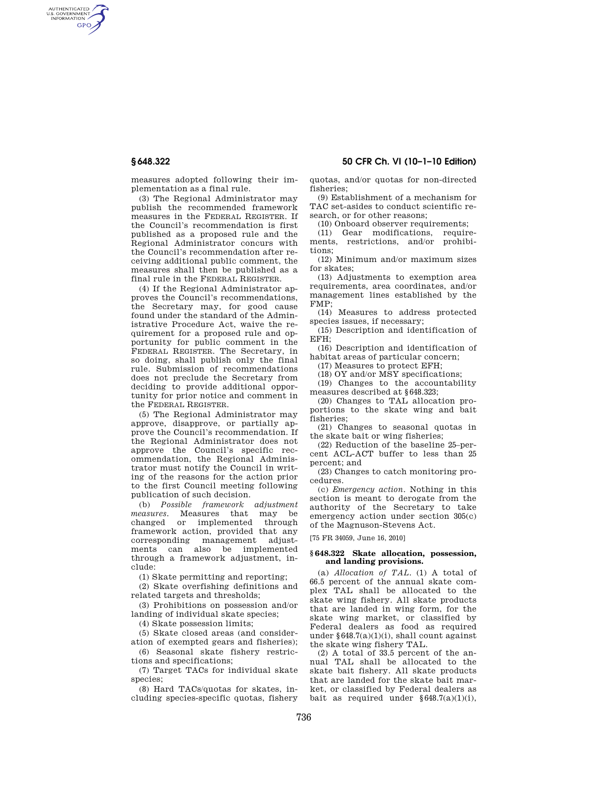AUTHENTICATED<br>U.S. GOVERNMENT<br>INFORMATION **GPO** 

**§ 648.322 50 CFR Ch. VI (10–1–10 Edition)** 

measures adopted following their implementation as a final rule.

(3) The Regional Administrator may publish the recommended framework measures in the FEDERAL REGISTER. If the Council's recommendation is first published as a proposed rule and the Regional Administrator concurs with the Council's recommendation after receiving additional public comment, the measures shall then be published as a final rule in the FEDERAL REGISTER.

(4) If the Regional Administrator approves the Council's recommendations, the Secretary may, for good cause found under the standard of the Administrative Procedure Act, waive the requirement for a proposed rule and opportunity for public comment in the FEDERAL REGISTER. The Secretary, in so doing, shall publish only the final rule. Submission of recommendations does not preclude the Secretary from deciding to provide additional opportunity for prior notice and comment in the FEDERAL REGISTER.

(5) The Regional Administrator may approve, disapprove, or partially approve the Council's recommendation. If the Regional Administrator does not approve the Council's specific recommendation, the Regional Administrator must notify the Council in writing of the reasons for the action prior to the first Council meeting following publication of such decision.

(b) *Possible framework adjustment measures*. Measures that may be changed or implemented through framework action, provided that any corresponding management adjustments can also be implemented through a framework adjustment, include:

(1) Skate permitting and reporting;

(2) Skate overfishing definitions and related targets and thresholds;

(3) Prohibitions on possession and/or landing of individual skate species;

(4) Skate possession limits;

(5) Skate closed areas (and consideration of exempted gears and fisheries);

(6) Seasonal skate fishery restrictions and specifications;

(7) Target TACs for individual skate species:

(8) Hard TACs/quotas for skates, including species-specific quotas, fishery quotas, and/or quotas for non-directed fisheries;

(9) Establishment of a mechanism for TAC set-asides to conduct scientific research, or for other reasons;

(10) Onboard observer requirements;

(11) Gear modifications, requirements, restrictions, and/or prohibitions;

(12) Minimum and/or maximum sizes for skates;

(13) Adjustments to exemption area requirements, area coordinates, and/or management lines established by the FMP;

(14) Measures to address protected species issues, if necessary;

(15) Description and identification of EFH;

(16) Description and identification of habitat areas of particular concern;

(17) Measures to protect EFH;

(18) OY and/or MSY specifications;

(19) Changes to the accountability measures described at §648.323;

(20) Changes to TAL allocation proportions to the skate wing and bait fisheries;

(21) Changes to seasonal quotas in the skate bait or wing fisheries;

(22) Reduction of the baseline 25–percent ACL-ACT buffer to less than 25 percent; and

(23) Changes to catch monitoring procedures.

(c) *Emergency action*. Nothing in this section is meant to derogate from the authority of the Secretary to take emergency action under section 305(c) of the Magnuson-Stevens Act.

[75 FR 34059, June 16, 2010]

## **§ 648.322 Skate allocation, possession, and landing provisions.**

(a) *Allocation of TAL*. (1) A total of 66.5 percent of the annual skate complex TAL shall be allocated to the skate wing fishery. All skate products that are landed in wing form, for the skate wing market, or classified by Federal dealers as food as required under  $§648.7(a)(1)(i)$ , shall count against the skate wing fishery TAL.

(2) A total of 33.5 percent of the annual TAL shall be allocated to the skate bait fishery. All skate products that are landed for the skate bait market, or classified by Federal dealers as bait as required under  $§648.7(a)(1)(i)$ ,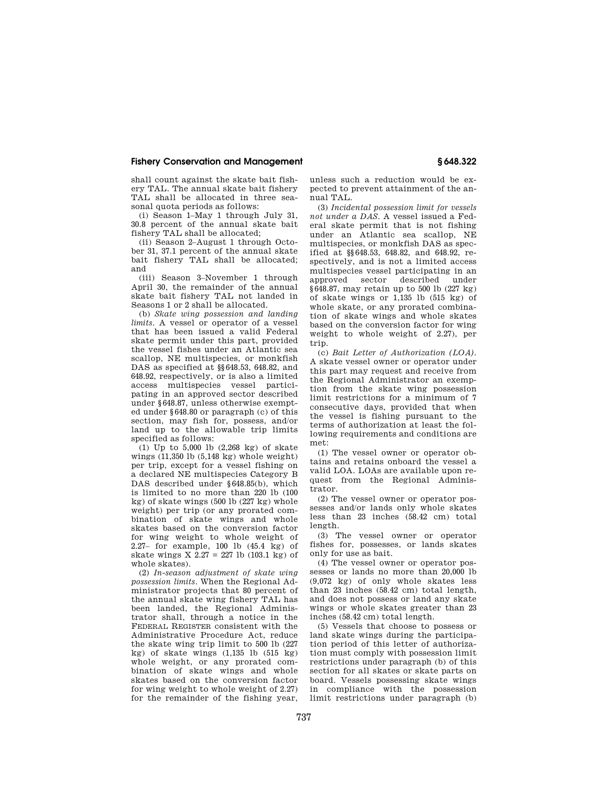# **Fishery Conservation and Management § 648.322**

shall count against the skate bait fishery TAL. The annual skate bait fishery TAL shall be allocated in three seasonal quota periods as follows:

(i) Season 1–May 1 through July 31, 30.8 percent of the annual skate bait fishery TAL shall be allocated;

(ii) Season 2–August 1 through October 31, 37.1 percent of the annual skate bait fishery TAL shall be allocated; and

(iii) Season 3–November 1 through April 30, the remainder of the annual skate bait fishery TAL not landed in Seasons 1 or 2 shall be allocated.

(b) *Skate wing possession and landing limits*. A vessel or operator of a vessel that has been issued a valid Federal skate permit under this part, provided the vessel fishes under an Atlantic sea scallop, NE multispecies, or monkfish DAS as specified at §§648.53, 648.82, and 648.92, respectively, or is also a limited access multispecies vessel participating in an approved sector described under §648.87, unless otherwise exempted under §648.80 or paragraph (c) of this section, may fish for, possess, and/or land up to the allowable trip limits specified as follows:

(1) Up to 5,000 lb (2,268 kg) of skate wings (11,350 lb (5,148 kg) whole weight) per trip, except for a vessel fishing on a declared NE multispecies Category B DAS described under §648.85(b), which is limited to no more than 220 lb (100 kg) of skate wings (500 lb (227 kg) whole weight) per trip (or any prorated combination of skate wings and whole skates based on the conversion factor for wing weight to whole weight of 2.27– for example, 100 lb (45.4 kg) of skate wings  $X$  2.27 = 227 lb (103.1 kg) of whole skates).

(2) *In-season adjustment of skate wing possession limits*. When the Regional Administrator projects that 80 percent of the annual skate wing fishery TAL has been landed, the Regional Administrator shall, through a notice in the FEDERAL REGISTER consistent with the Administrative Procedure Act, reduce the skate wing trip limit to 500 lb (227 kg) of skate wings  $(1,135)$  lb  $(515)$  kg) whole weight, or any prorated combination of skate wings and whole skates based on the conversion factor for wing weight to whole weight of 2.27) for the remainder of the fishing year,

unless such a reduction would be expected to prevent attainment of the annual TAL.

(3) *Incidental possession limit for vessels not under a DAS*. A vessel issued a Federal skate permit that is not fishing under an Atlantic sea scallop, NE multispecies, or monkfish DAS as specified at §§648.53, 648.82, and 648.92, respectively, and is not a limited access multispecies vessel participating in an approved sector described under §648.87, may retain up to 500 lb (227 kg) of skate wings or 1,135 lb (515 kg) of whole skate, or any prorated combination of skate wings and whole skates based on the conversion factor for wing weight to whole weight of 2.27), per trip.

(c) *Bait Letter of Authorization (LOA)*. A skate vessel owner or operator under this part may request and receive from the Regional Administrator an exemption from the skate wing possession limit restrictions for a minimum of 7 consecutive days, provided that when the vessel is fishing pursuant to the terms of authorization at least the following requirements and conditions are met:

(1) The vessel owner or operator obtains and retains onboard the vessel a valid LOA. LOAs are available upon request from the Regional Administrator.

(2) The vessel owner or operator possesses and/or lands only whole skates less than 23 inches (58.42 cm) total length.

(3) The vessel owner or operator fishes for, possesses, or lands skates only for use as bait.

(4) The vessel owner or operator possesses or lands no more than 20,000 lb (9,072 kg) of only whole skates less than 23 inches (58.42 cm) total length, and does not possess or land any skate wings or whole skates greater than 23 inches (58.42 cm) total length.

(5) Vessels that choose to possess or land skate wings during the participation period of this letter of authorization must comply with possession limit restrictions under paragraph (b) of this section for all skates or skate parts on board. Vessels possessing skate wings in compliance with the possession limit restrictions under paragraph (b)